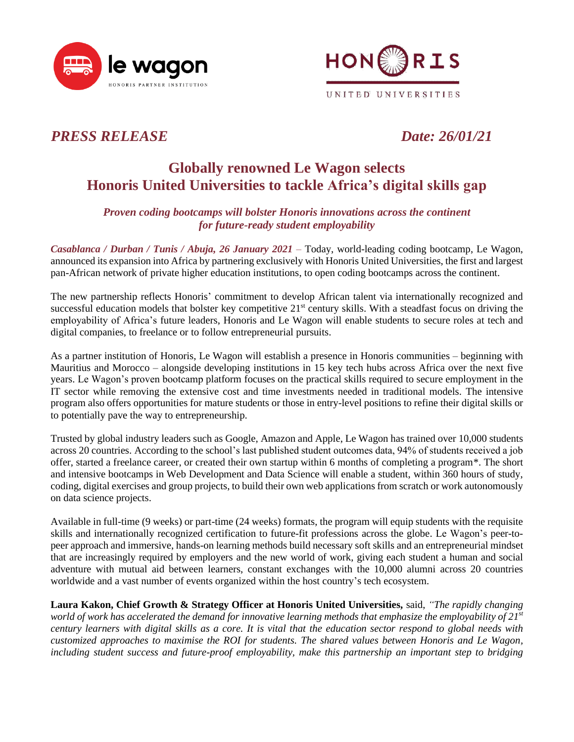



## *PRESS RELEASE Date: 26/01/21*

# **Globally renowned Le Wagon selects Honoris United Universities to tackle Africa's digital skills gap**

## *Proven coding bootcamps will bolster Honoris innovations across the continent for future-ready student employability*

*Casablanca / Durban / Tunis / Abuja, 26 January 2021 –* Today, world-leading coding bootcamp, Le Wagon, announced its expansion into Africa by partnering exclusively with Honoris United Universities, the first and largest pan-African network of private higher education institutions, to open coding bootcamps across the continent.

The new partnership reflects Honoris' commitment to develop African talent via internationally recognized and successful education models that bolster key competitive  $21<sup>st</sup>$  century skills. With a steadfast focus on driving the employability of Africa's future leaders, Honoris and Le Wagon will enable students to secure roles at tech and digital companies, to freelance or to follow entrepreneurial pursuits.

As a partner institution of Honoris, Le Wagon will establish a presence in Honoris communities – beginning with Mauritius and Morocco – alongside developing institutions in 15 key tech hubs across Africa over the next five years. Le Wagon's proven bootcamp platform focuses on the practical skills required to secure employment in the IT sector while removing the extensive cost and time investments needed in traditional models. The intensive program also offers opportunities for mature students or those in entry-level positions to refine their digital skills or to potentially pave the way to entrepreneurship.

Trusted by global industry leaders such as Google, Amazon and Apple, Le Wagon has trained over 10,000 students across 20 countries. According to the school's last published student outcomes data, 94% of students received a job offer, started a freelance career, or created their own startup within 6 months of completing a program\*. The short and intensive bootcamps in Web Development and Data Science will enable a student, within 360 hours of study, coding, digital exercises and group projects, to build their own web applications from scratch or work autonomously on data science projects.

Available in full-time (9 weeks) or part-time (24 weeks) formats, the program will equip students with the requisite skills and internationally recognized certification to future-fit professions across the globe. Le Wagon's peer-topeer approach and immersive, hands-on learning methods build necessary soft skills and an entrepreneurial mindset that are increasingly required by employers and the new world of work, giving each student a human and social adventure with mutual aid between learners, constant exchanges with the 10,000 alumni across 20 countries worldwide and a vast number of events organized within the host country's tech ecosystem.

**Laura Kakon, Chief Growth & Strategy Officer at Honoris United Universities,** said, *"The rapidly changing world of work has accelerated the demand for innovative learning methods that emphasize the employability of 21st century learners with digital skills as a core. It is vital that the education sector respond to global needs with customized approaches to maximise the ROI for students. The shared values between Honoris and Le Wagon, including student success and future-proof employability, make this partnership an important step to bridging*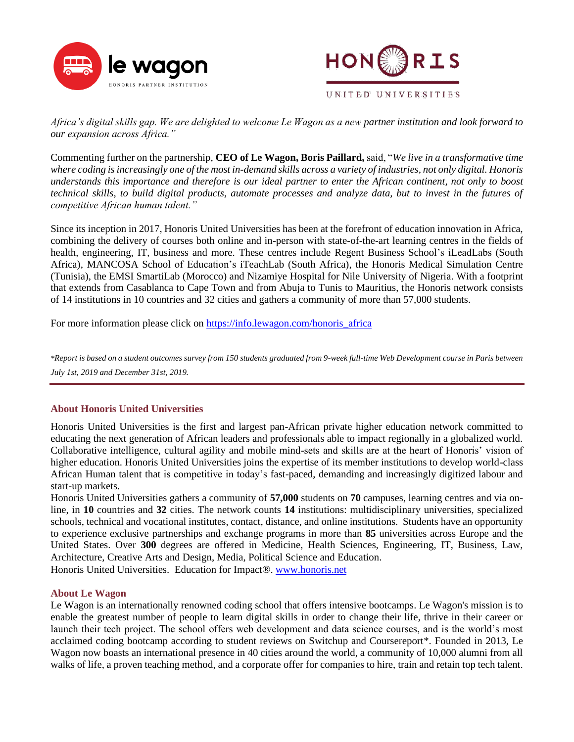



*Africa's digital skills gap. We are delighted to welcome Le Wagon as a new partner institution and look forward to our expansion across Africa."*

Commenting further on the partnership, **CEO of Le Wagon, Boris Paillard,** said, "*We live in a transformative time where coding is increasingly one of the most in-demand skills across a variety of industries, not only digital. Honoris understands this importance and therefore is our ideal partner to enter the African continent, not only to boost technical skills, to build digital products, automate processes and analyze data, but to invest in the futures of competitive African human talent."*

Since its inception in 2017, Honoris United Universities has been at the forefront of education innovation in Africa, combining the delivery of courses both online and in-person with state-of-the-art learning centres in the fields of health, engineering, IT, business and more. These centres include Regent Business School's iLeadLabs (South Africa), MANCOSA School of Education's iTeachLab (South Africa), the Honoris Medical Simulation Centre (Tunisia), the EMSI SmartiLab (Morocco) and Nizamiye Hospital for Nile University of Nigeria. With a footprint that extends from Casablanca to Cape Town and from Abuja to Tunis to Mauritius, the Honoris network consists of 14 institutions in 10 countries and 32 cities and gathers a community of more than 57,000 students.

For more information please click on [https://info.lewagon.com/honoris\\_africa](https://info.lewagon.com/honoris_africa)

*\*Report is based on a student outcomes survey from 150 students graduated from 9-week full-time Web Development course in Paris between July 1st, 2019 and December 31st, 2019.*

### **About Honoris United Universities**

Honoris United Universities is the first and largest pan-African private higher education network committed to educating the next generation of African leaders and professionals able to impact regionally in a globalized world. Collaborative intelligence, cultural agility and mobile mind-sets and skills are at the heart of Honoris' vision of higher education. Honoris United Universities joins the expertise of its member institutions to develop world-class African Human talent that is competitive in today's fast-paced, demanding and increasingly digitized labour and start-up markets.

Honoris United Universities gathers a community of **57,000** students on **70** campuses, learning centres and via online, in **10** countries and **32** cities. The network counts **14** institutions: multidisciplinary universities, specialized schools, technical and vocational institutes, contact, distance, and online institutions. Students have an opportunity to experience exclusive partnerships and exchange programs in more than **85** universities across Europe and the United States. Over **300** degrees are offered in Medicine, Health Sciences, Engineering, IT, Business, Law, Architecture, Creative Arts and Design, Media, Political Science and Education.

Honoris United Universities. Education for Impact®. [www.honoris.net](http://www.honoris.net/)

### **About Le Wagon**

Le Wagon is an internationally renowned coding school that offers intensive bootcamps. Le Wagon's mission is to enable the greatest number of people to learn digital skills in order to change their life, thrive in their career or launch their tech project. The school offers web development and data science courses, and is the world's most acclaimed coding bootcamp according to student reviews on Switchup and Coursereport\*. Founded in 2013, Le Wagon now boasts an international presence in 40 cities around the world, a community of 10,000 alumni from all walks of life, a proven teaching method, and a corporate offer for companies to hire, train and retain top tech talent.